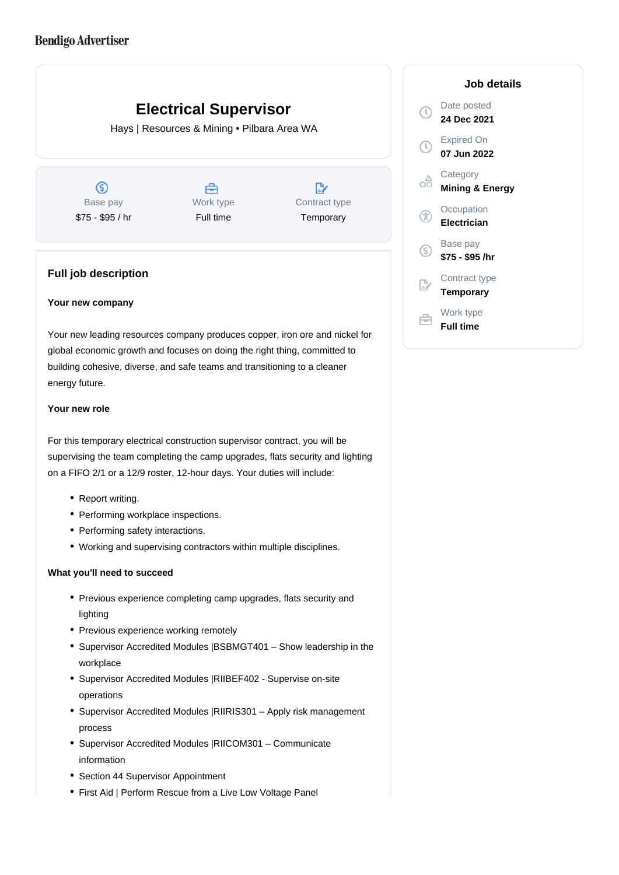# **Electrical Supervisor**

Hays | Resources & Mining • Pilbara Area WA

 $\circledS$ Base pay \$75 - \$95 / hr

A Work type Full time

 $\mathbb{R}$ Contract type **Temporary** 

## **Full job description**

### **Your new company**

Your new leading resources company produces copper, iron ore and nickel for global economic growth and focuses on doing the right thing, committed to building cohesive, diverse, and safe teams and transitioning to a cleaner energy future.

### **Your new role**

For this temporary electrical construction supervisor contract, you will be supervising the team completing the camp upgrades, flats security and lighting on a FIFO 2/1 or a 12/9 roster, 12-hour days. Your duties will include:

- Report writing.
- Performing workplace inspections.
- Performing safety interactions.
- Working and supervising contractors within multiple disciplines.

## **What you'll need to succeed**

- Previous experience completing camp upgrades, flats security and lighting
- Previous experience working remotely
- Supervisor Accredited Modules |BSBMGT401 Show leadership in the workplace
- Supervisor Accredited Modules |RIIBEF402 Supervise on-site operations
- Supervisor Accredited Modules |RIIRIS301 Apply risk management process
- Supervisor Accredited Modules |RIICOM301 Communicate information
- Section 44 Supervisor Appointment
- First Aid | Perform Rescue from a Live Low Voltage Panel

## **Job details** Date posted  $\bigcirc$ **24 Dec 2021** Expired On **07 Jun 2022 Category** œ **Mining & Energy Occupation** Œ **Electrician** Base pay <sub>(S)</sub> **\$75 - \$95 /hr** Contract type **Temporary** Work type 户 **Full time**